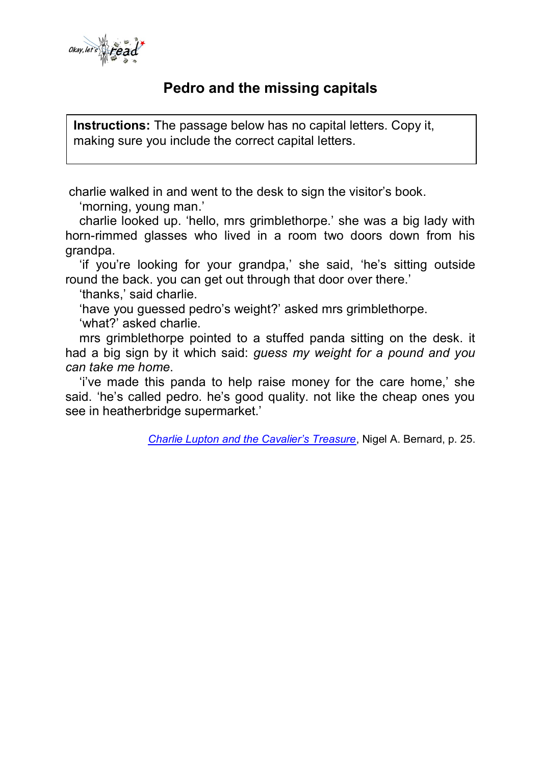

 $\overline{\phantom{a}}$ 

## **Pedro and the missing capitals**

**Instructions:** The passage below has no capital letters. Copy it, making sure you include the correct capital letters.

charlie walked in and went to the desk to sign the visitor's book.

'morning, young man.'

 charlie looked up. 'hello, mrs grimblethorpe.' she was a big lady with horn-rimmed glasses who lived in a room two doors down from his grandpa.

 'if you're looking for your grandpa,' she said, 'he's sitting outside round the back. you can get out through that door over there.'

'thanks,' said charlie.

'have you guessed pedro's weight?' asked mrs grimblethorpe.

'what?' asked charlie.

 mrs grimblethorpe pointed to a stuffed panda sitting on the desk. it had a big sign by it which said: *guess my weight for a pound and you can take me home*.

 'i've made this panda to help raise money for the care home,' she said. 'he's called pedro. he's good quality. not like the cheap ones you see in heatherbridge supermarket.'

*[Charlie Lupton and the Cavalier's Treasure](http://nigelbernard.com/book/charlie-lupton-and-cavalier%E2%80%99s-treasure)*, Nigel A. Bernard, p. 25.